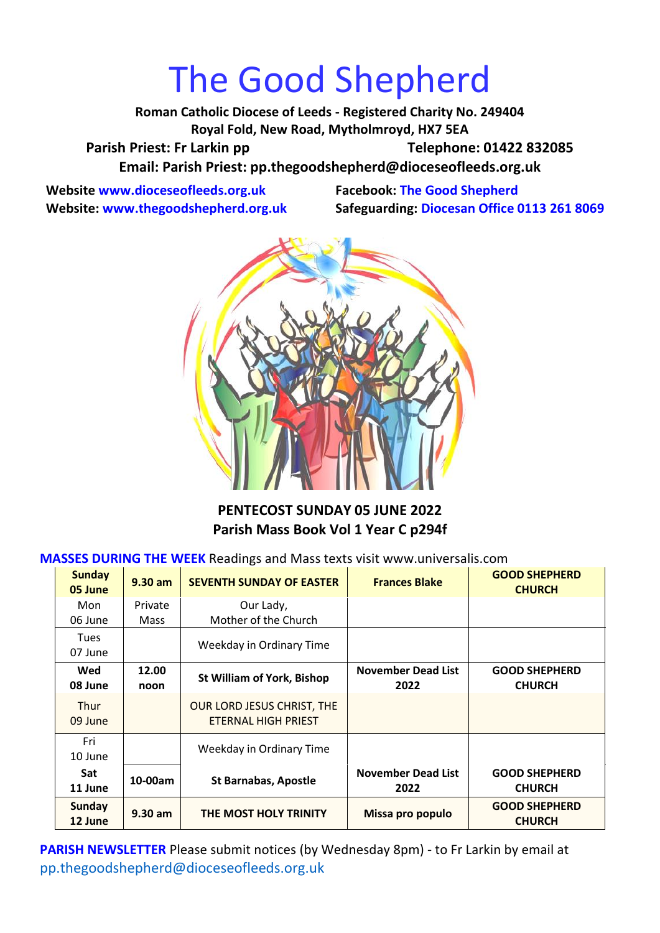# The Good Shepherd

**Roman Catholic Diocese of Leeds - Registered Charity No. 249404 Royal Fold, New Road, Mytholmroyd, HX7 5EA** Parish Priest: Fr Larkin pp Telephone: 01422 832085 **Email: Parish Priest: [pp.thegoodshepherd@dioceseofleeds.org.uk](http://Name:%C2%A0pp.thegoodshepherd@dioceseofleeds.org.uk/)**

**Website www.dioceseofleeds.org.uk Facebook: The Good Shepherd**

**Website: www.thegoodshepherd.org.uk Safeguarding: Diocesan Office 0113 261 8069**



**PENTECOST SUNDAY 05 JUNE 2022 Parish Mass Book Vol 1 Year C p294f**

#### **MASSES DURING THE WEEK** Readings and Mass texts visit www.universalis.com

| <b>Sunday</b><br>05 June | $9.30$ am     | <b>SEVENTH SUNDAY OF EASTER</b>                   | <b>Frances Blake</b>              | <b>GOOD SHEPHERD</b><br><b>CHURCH</b> |
|--------------------------|---------------|---------------------------------------------------|-----------------------------------|---------------------------------------|
| Mon                      | Private       | Our Lady,                                         |                                   |                                       |
| 06 June                  | <b>Mass</b>   | Mother of the Church                              |                                   |                                       |
| <b>Tues</b><br>07 June   |               | Weekday in Ordinary Time                          |                                   |                                       |
| Wed<br>08 June           | 12.00<br>noon | <b>St William of York, Bishop</b>                 | <b>November Dead List</b><br>2022 | <b>GOOD SHEPHERD</b><br><b>CHURCH</b> |
| <b>Thur</b><br>09 June   |               | OUR LORD JESUS CHRIST, THE<br>ETERNAL HIGH PRIEST |                                   |                                       |
| Fri<br>10 June           |               | Weekday in Ordinary Time                          |                                   |                                       |
| <b>Sat</b><br>11 June    | 10-00am       | <b>St Barnabas, Apostle</b>                       | <b>November Dead List</b><br>2022 | <b>GOOD SHEPHERD</b><br><b>CHURCH</b> |
| <b>Sunday</b><br>12 June | $9.30$ am     | THE MOST HOLY TRINITY                             | Missa pro populo                  | <b>GOOD SHEPHERD</b><br><b>CHURCH</b> |

**PARISH NEWSLETTER** Please submit notices (by Wednesday 8pm) - to Fr Larkin by email at pp.thegoodshepherd@dioceseofleeds.org.uk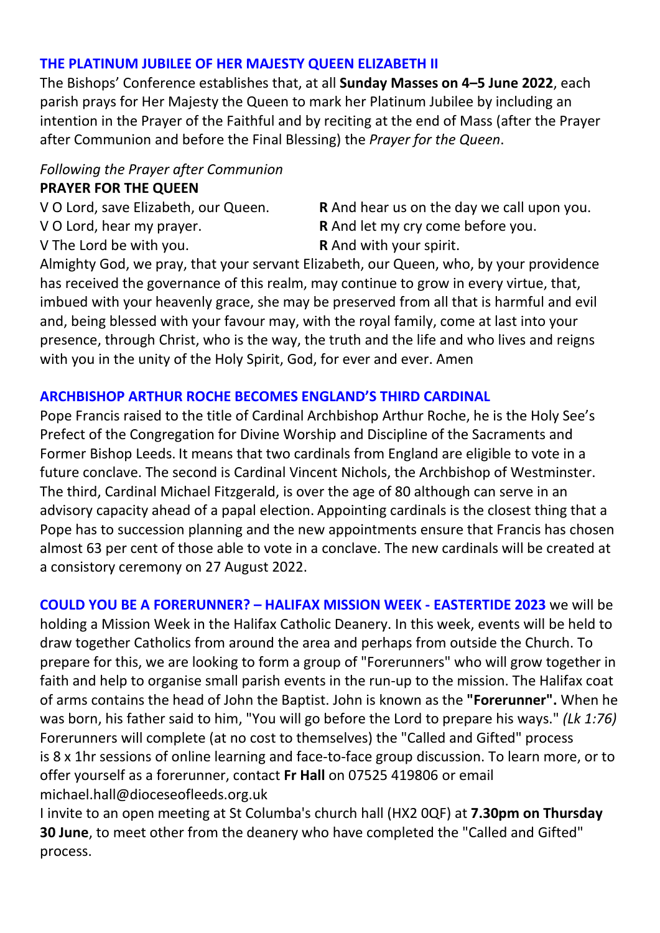### **THE PLATINUM JUBILEE OF HER MAJESTY QUEEN ELIZABETH II**

The Bishops' Conference establishes that, at all **Sunday Masses on 4–5 June 2022**, each parish prays for Her Majesty the Queen to mark her Platinum Jubilee by including an intention in the Prayer of the Faithful and by reciting at the end of Mass (after the Prayer after Communion and before the Final Blessing) the *Prayer for the Queen*.

## *Following the Prayer after Communion* **PRAYER FOR THE QUEEN**

V O Lord, hear my prayer. **R** And let my cry come before you. V The Lord be with you. **R** And with your spirit.

V O Lord, save Elizabeth, our Queen. **R** And hear us on the day we call upon you.

Almighty God, we pray, that your servant Elizabeth, our Queen, who, by your providence has received the governance of this realm, may continue to grow in every virtue, that, imbued with your heavenly grace, she may be preserved from all that is harmful and evil and, being blessed with your favour may, with the royal family, come at last into your presence, through Christ, who is the way, the truth and the life and who lives and reigns with you in the unity of the Holy Spirit, God, for ever and ever. Amen

### **ARCHBISHOP ARTHUR ROCHE BECOMES ENGLAND'S THIRD CARDINAL**

Pope Francis raised to the title of Cardinal Archbishop Arthur Roche, he is the Holy See's Prefect of the Congregation for Divine Worship and Discipline of the Sacraments and Former Bishop Leeds. It means that two cardinals from England are eligible to vote in a future conclave. The second is Cardinal Vincent Nichols, the Archbishop of Westminster. The third, Cardinal Michael Fitzgerald, is over the age of 80 although can serve in an advisory capacity ahead of a papal election. Appointing cardinals is the closest thing that a Pope has to succession planning and the new appointments ensure that Francis has chosen almost 63 per cent of those able to vote in a conclave. The new cardinals will be created at a consistory ceremony on 27 August 2022.

**COULD YOU BE A FORERUNNER? – HALIFAX MISSION WEEK - EASTERTIDE 2023** we will be holding a Mission Week in the Halifax Catholic Deanery. In this week, events will be held to draw together Catholics from around the area and perhaps from outside the Church. To prepare for this, we are looking to form a group of "Forerunners" who will grow together in faith and help to organise small parish events in the run-up to the mission. The Halifax coat of arms contains the head of John the Baptist. John is known as the **"Forerunner".** When he was born, his father said to him, "You will go before the Lord to prepare his ways." *(Lk 1:76)* Forerunners will complete (at no cost to themselves) the "Called and Gifted" process is 8 x 1hr sessions of online learning and face-to-face group discussion. To learn more, or to offer yourself as a forerunner, contact **Fr Hall** on 07525 419806 or email michael.hall@dioceseofleeds.org.uk

I invite to an open meeting at St Columba's church hall (HX2 0QF) at **7.30pm on Thursday 30 June**, to meet other from the deanery who have completed the "Called and Gifted" process.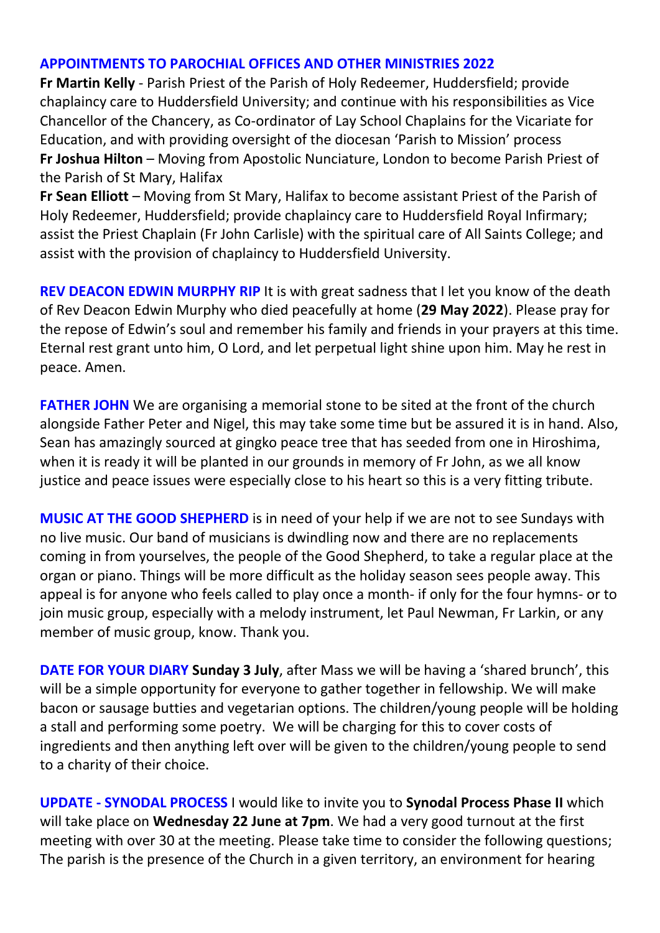### **APPOINTMENTS TO PAROCHIAL OFFICES AND OTHER MINISTRIES 2022**

**Fr Martin Kelly** - Parish Priest of the Parish of Holy Redeemer, Huddersfield; provide chaplaincy care to Huddersfield University; and continue with his responsibilities as Vice Chancellor of the Chancery, as Co-ordinator of Lay School Chaplains for the Vicariate for Education, and with providing oversight of the diocesan 'Parish to Mission' process **Fr Joshua Hilton** – Moving from Apostolic Nunciature, London to become Parish Priest of the Parish of St Mary, Halifax

**Fr Sean Elliott** – Moving from St Mary, Halifax to become assistant Priest of the Parish of Holy Redeemer, Huddersfield; provide chaplaincy care to Huddersfield Royal Infirmary; assist the Priest Chaplain (Fr John Carlisle) with the spiritual care of All Saints College; and assist with the provision of chaplaincy to Huddersfield University.

**REV DEACON EDWIN MURPHY RIP** It is with great sadness that I let you know of the death of Rev Deacon Edwin Murphy who died peacefully at home (**29 May 2022**). Please pray for the repose of Edwin's soul and remember his family and friends in your prayers at this time. Eternal rest grant unto him, O Lord, and let perpetual light shine upon him. May he rest in peace. Amen.

**FATHER JOHN** We are organising a memorial stone to be sited at the front of the church alongside Father Peter and Nigel, this may take some time but be assured it is in hand. Also, Sean has amazingly sourced at gingko peace tree that has seeded from one in Hiroshima, when it is ready it will be planted in our grounds in memory of Fr John, as we all know justice and peace issues were especially close to his heart so this is a very fitting tribute.

**MUSIC AT THE GOOD SHEPHERD** is in need of your help if we are not to see Sundays with no live music. Our band of musicians is dwindling now and there are no replacements coming in from yourselves, the people of the Good Shepherd, to take a regular place at the organ or piano. Things will be more difficult as the holiday season sees people away. This appeal is for anyone who feels called to play once a month- if only for the four hymns- or to join music group, especially with a melody instrument, let Paul Newman, Fr Larkin, or any member of music group, know. Thank you.

**DATE FOR YOUR DIARY Sunday 3 July**, after Mass we will be having a 'shared brunch', this will be a simple opportunity for everyone to gather together in fellowship. We will make bacon or sausage butties and vegetarian options. The children/young people will be holding a stall and performing some poetry. We will be charging for this to cover costs of ingredients and then anything left over will be given to the children/young people to send to a charity of their choice.

**UPDATE - SYNODAL PROCESS** I would like to invite you to **Synodal Process Phase II** which will take place on **Wednesday 22 June at 7pm**. We had a very good turnout at the first meeting with over 30 at the meeting. Please take time to consider the following questions; The parish is the presence of the Church in a given territory, an environment for hearing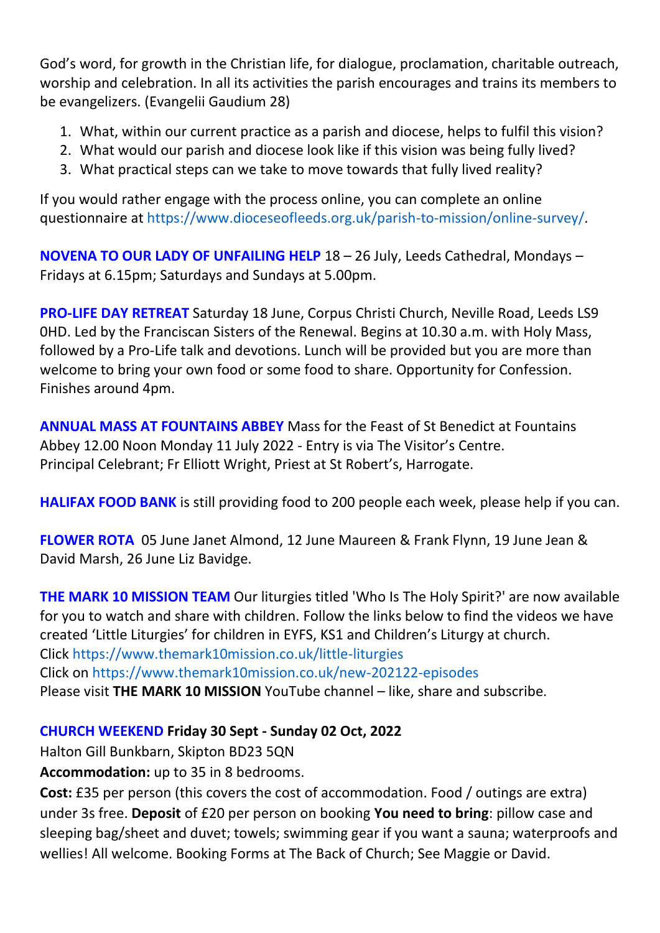God's word, for growth in the Christian life, for dialogue, proclamation, charitable outreach, worship and celebration. In all its activities the parish encourages and trains its members to be evangelizers. (Evangelii Gaudium 28)

- 1. What, within our current practice as a parish and diocese, helps to fulfil this vision?
- 2. What would our parish and diocese look like if this vision was being fully lived?
- 3. What practical steps can we take to move towards that fully lived reality?

If you would rather engage with the process online, you can complete an online questionnaire at [https://www.dioceseofleeds.org.uk/parish-to-mission/online-survey/.](https://www.dioceseofleeds.org.uk/parish-to-mission/online-survey/)

**NOVENA TO OUR LADY OF UNFAILING HELP** 18 – 26 July, Leeds Cathedral, Mondays – Fridays at 6.15pm; Saturdays and Sundays at 5.00pm.

**PRO-LIFE DAY RETREAT** Saturday 18 June, Corpus Christi Church, Neville Road, Leeds LS9 0HD. Led by the Franciscan Sisters of the Renewal. Begins at 10.30 a.m. with Holy Mass, followed by a Pro-Life talk and devotions. Lunch will be provided but you are more than welcome to bring your own food or some food to share. Opportunity for Confession. Finishes around 4pm.

**ANNUAL MASS AT FOUNTAINS ABBEY** Mass for the Feast of St Benedict at Fountains Abbey 12.00 Noon Monday 11 July 2022 - Entry is via The Visitor's Centre. Principal Celebrant; Fr Elliott Wright, Priest at St Robert's, Harrogate.

**HALIFAX FOOD BANK** is still providing food to 200 people each week, please help if you can.

**FLOWER ROTA** 05 June Janet Almond, 12 June Maureen & Frank Flynn, 19 June Jean & David Marsh, 26 June Liz Bavidge.

**THE MARK 10 MISSION TEAM** Our liturgies titled 'Who Is The Holy Spirit?' are now available for you to watch and share with children. Follow the links below to find the videos we have created 'Little Liturgies' for children in EYFS, KS1 and Children's Liturgy at church. Click <https://www.themark10mission.co.uk/little-liturgies> Click on <https://www.themark10mission.co.uk/new-202122-episodes> Please visit **THE MARK 10 MISSION** YouTube channel – like, share and subscribe.

## **CHURCH WEEKEND Friday 30 Sept - Sunday 02 Oct, 2022**

Halton Gill Bunkbarn, Skipton BD23 5QN

**Accommodation:** up to 35 in 8 bedrooms.

**Cost:** £35 per person (this covers the cost of accommodation. Food / outings are extra) under 3s free. **Deposit** of £20 per person on booking **You need to bring**: pillow case and sleeping bag/sheet and duvet; towels; swimming gear if you want a sauna; waterproofs and wellies! All welcome. Booking Forms at The Back of Church; See Maggie or David.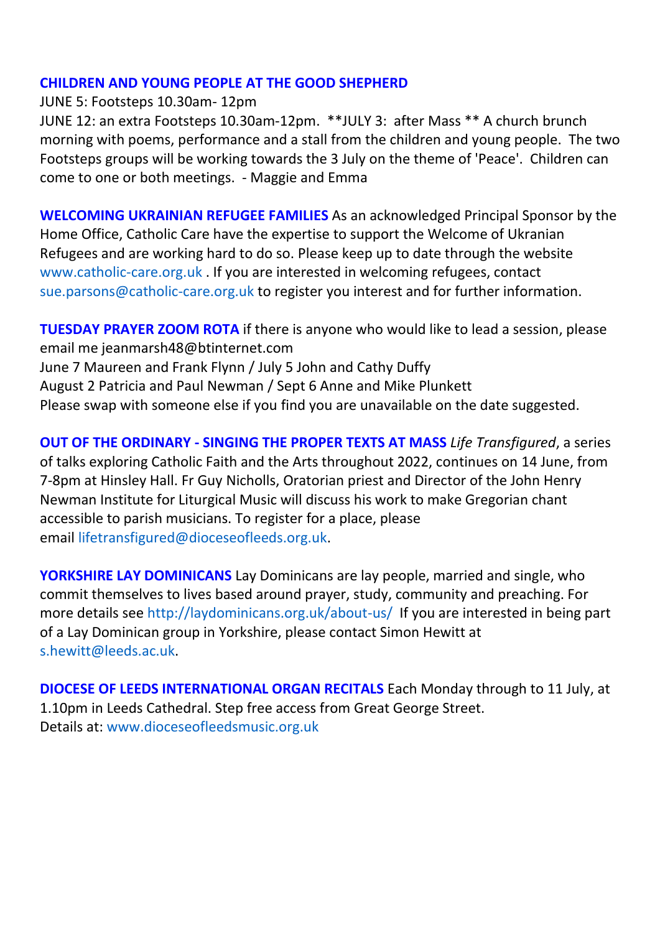### **CHILDREN AND YOUNG PEOPLE AT THE GOOD SHEPHERD**

JUNE 5: Footsteps 10.30am- 12pm

JUNE 12: an extra Footsteps 10.30am-12pm. \*\*JULY 3: after Mass \*\* A church brunch morning with poems, performance and a stall from the children and young people. The two Footsteps groups will be working towards the 3 July on the theme of 'Peace'. Children can come to one or both meetings. - Maggie and Emma

**WELCOMING UKRAINIAN REFUGEE FAMILIES** As an acknowledged Principal Sponsor by the Home Office, Catholic Care have the expertise to support the Welcome of Ukranian Refugees and are working hard to do so. Please keep up to date through the website [www.catholic-care.org.uk](http://www.catholic-care.org.uk/) . If you are interested in welcoming refugees, contact [sue.parsons@catholic-care.org.uk](mailto:sue.parsons@catholic-care.org.uk) to register you interest and for further information.

**TUESDAY PRAYER ZOOM ROTA** if there is anyone who would like to lead a session, please email me jeanmarsh48@btinternet.com June 7 Maureen and Frank Flynn / July 5 John and Cathy Duffy August 2 Patricia and Paul Newman / Sept 6 Anne and Mike Plunkett Please swap with someone else if you find you are unavailable on the date suggested.

**OUT OF THE ORDINARY - SINGING THE PROPER TEXTS AT MASS** *Life Transfigured*, a series of talks exploring Catholic Faith and the Arts throughout 2022, continues on 14 June, from 7-8pm at Hinsley Hall. Fr Guy Nicholls, Oratorian priest and Director of the John Henry Newman Institute for Liturgical Music will discuss his work to make Gregorian chant accessible to parish musicians. To register for a place, please email [lifetransfigured@dioceseofleeds.org.uk.](mailto:lifetransfigured@dioceseofleeds.org.uk)

**YORKSHIRE LAY DOMINICANS** Lay Dominicans are lay people, married and single, who commit themselves to lives based around prayer, study, community and preaching. For more details see [http://laydominicans.org.uk/about-us/](https://eu-west-1.protection.sophos.com/?d=outlook.com&u=aHR0cHM6Ly9uYW0xMi5zYWZlbGlua3MucHJvdGVjdGlvbi5vdXRsb29rLmNvbS8_dXJsPWh0dHAlM0ElMkYlMkZsYXlkb21pbmljYW5zLm9yZy51ayUyRmFib3V0LXVzJTJGJmRhdGE9MDUlN0MwMSU3QyU3QzQzOTA0NzFiMjg3ZTQ0NTRiZjMzMDhkYTMzM2FjNTYxJTdDODRkZjllN2ZlOWY2NDBhZmI0MzVhYWFhYWFhYWFhYWElN0MxJTdDMCU3QzYzNzg3ODYyNDc3NzA0MDEzNyU3Q1Vua25vd24lN0NUV0ZwYkdac2IzZDhleUpXSWpvaU1DNHdMakF3TURBaUxDSlFJam9pVjJsdU16SWlMQ0pCVGlJNklrMWhhV3dpTENKWFZDSTZNbjAlM0QlN0MzMDAwJTdDJTdDJTdDJnNkYXRhPUJNJTJCa01Qb0tKZml5MG1aTWg0UiUyQjZhS2hucUU1akJwU0w3QVAlMkZYeSUyRkxiRSUzRCZyZXNlcnZlZD0w&i=NWNmNjM5Zjk2M2EzYmMxNDI0YzEyMTQy&t=dFNJVFVMUXNrY0czMnFGZFVuM3pEdWlPenN6VjZaUENKRElINDVwUE5rcz0=&h=e5c248f6f29c48758b1647b0109c99e9) If you are interested in being part of a Lay Dominican group in Yorkshire, please contact Simon Hewitt at [s.hewitt@leeds.ac.uk.](mailto:s.hewitt@leeds.ac.uk)

**DIOCESE OF LEEDS INTERNATIONAL ORGAN RECITALS** Each Monday through to 11 July, at 1.10pm in Leeds Cathedral. Step free access from Great George Street. Details at: [www.dioceseofleedsmusic.org.uk](file:///D:/Desktop/GS%20NEWSLETTER/www.dioceseofleedsmusic.org.uk)